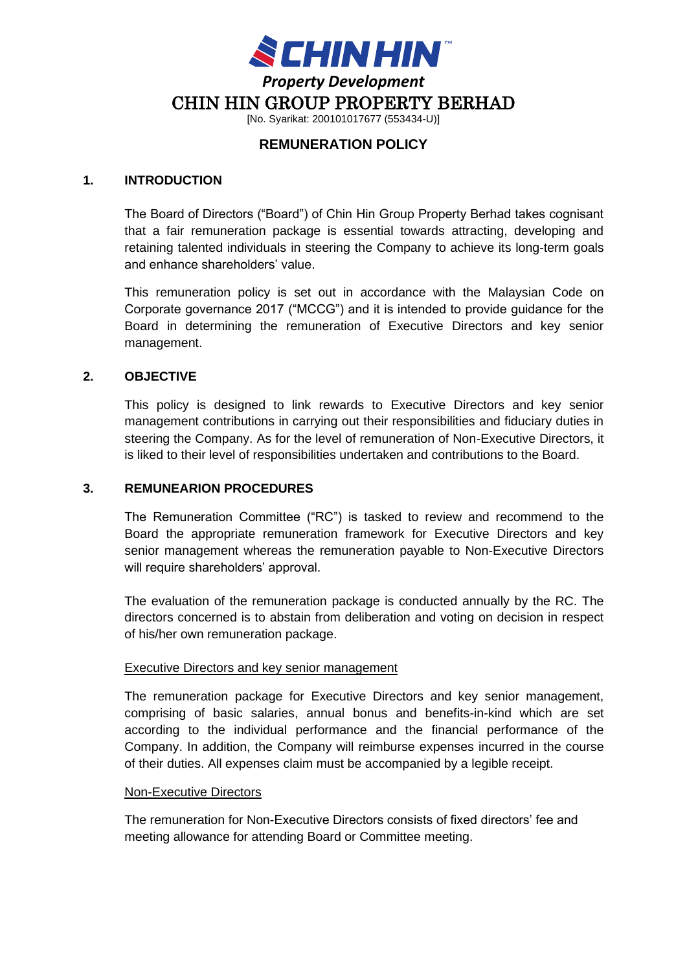

[No. Syarikat: 200101017677 (553434-U)]

# **REMUNERATION POLICY**

#### **1. INTRODUCTION**

The Board of Directors ("Board") of Chin Hin Group Property Berhad takes cognisant that a fair remuneration package is essential towards attracting, developing and retaining talented individuals in steering the Company to achieve its long-term goals and enhance shareholders' value.

This remuneration policy is set out in accordance with the Malaysian Code on Corporate governance 2017 ("MCCG") and it is intended to provide guidance for the Board in determining the remuneration of Executive Directors and key senior management.

### **2. OBJECTIVE**

This policy is designed to link rewards to Executive Directors and key senior management contributions in carrying out their responsibilities and fiduciary duties in steering the Company. As for the level of remuneration of Non-Executive Directors, it is liked to their level of responsibilities undertaken and contributions to the Board.

### **3. REMUNEARION PROCEDURES**

The Remuneration Committee ("RC") is tasked to review and recommend to the Board the appropriate remuneration framework for Executive Directors and key senior management whereas the remuneration payable to Non-Executive Directors will require shareholders' approval.

The evaluation of the remuneration package is conducted annually by the RC. The directors concerned is to abstain from deliberation and voting on decision in respect of his/her own remuneration package.

# Executive Directors and key senior management

The remuneration package for Executive Directors and key senior management, comprising of basic salaries, annual bonus and benefits-in-kind which are set according to the individual performance and the financial performance of the Company. In addition, the Company will reimburse expenses incurred in the course of their duties. All expenses claim must be accompanied by a legible receipt.

#### Non-Executive Directors

The remuneration for Non-Executive Directors consists of fixed directors' fee and meeting allowance for attending Board or Committee meeting.